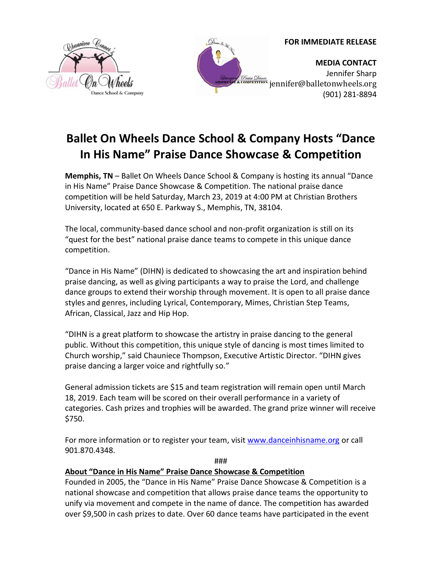



## **Ballet On Wheels Dance School & Company Hosts "Dance In His Name" Praise Dance Showcase & Competition**

**Memphis, TN** – Ballet On Wheels Dance School & Company is hosting its annual "Dance in His Name" Praise Dance Showcase & Competition. The national praise dance competition will be held Saturday, March 23, 2019 at 4:00 PM at Christian Brothers University, located at 650 E. Parkway S., Memphis, TN, 38104.

The local, community-based dance school and non-profit organization is still on its "quest for the best" national praise dance teams to compete in this unique dance competition.

"Dance in His Name" (DIHN) is dedicated to showcasing the art and inspiration behind praise dancing, as well as giving participants a way to praise the Lord, and challenge dance groups to extend their worship through movement. It is open to all praise dance styles and genres, including Lyrical, Contemporary, Mimes, Christian Step Teams, African, Classical, Jazz and Hip Hop.

"DIHN is a great platform to showcase the artistry in praise dancing to the general public. Without this competition, this unique style of dancing is most times limited to Church worship," said Chauniece Thompson, Executive Artistic Director. "DIHN gives praise dancing a larger voice and rightfully so."

General admission tickets are \$15 and team registration will remain open until March 18, 2019. Each team will be scored on their overall performance in a variety of categories. Cash prizes and trophies will be awarded. The grand prize winner will receive \$750.

For more information or to register your team, visit [www.danceinhisname.org](http://www.danceinhisname.org/) or call 901.870.4348.

###

## **About "Dance in His Name" Praise Dance Showcase & Competition**

Founded in 2005, the "Dance in His Name" Praise Dance Showcase & Competition is a national showcase and competition that allows praise dance teams the opportunity to unify via movement and compete in the name of dance. The competition has awarded over \$9,500 in cash prizes to date. Over 60 dance teams have participated in the event